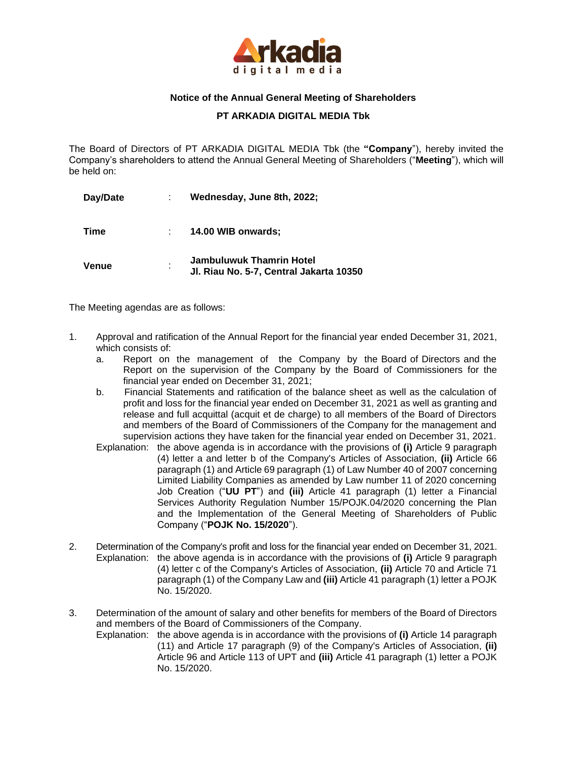

## **Notice of the Annual General Meeting of Shareholders**

**PT ARKADIA DIGITAL MEDIA Tbk**

The Board of Directors of PT ARKADIA DIGITAL MEDIA Tbk (the **"Company**"), hereby invited the Company's shareholders to attend the Annual General Meeting of Shareholders ("**Meeting**"), which will be held on:

| Day/Date |   | Wednesday, June 8th, 2022;                                                 |
|----------|---|----------------------------------------------------------------------------|
| Time     |   | 14.00 WIB onwards:                                                         |
| Venue    | ٠ | <b>Jambuluwuk Thamrin Hotel</b><br>Jl. Riau No. 5-7, Central Jakarta 10350 |

The Meeting agendas are as follows:

- 1. Approval and ratification of the Annual Report for the financial year ended December 31, 2021, which consists of:
	- a. Report on the management of the Company by the Board of Directors and the Report on the supervision of the Company by the Board of Commissioners for the financial year ended on December 31, 2021;
	- b. Financial Statements and ratification of the balance sheet as well as the calculation of profit and loss for the financial year ended on December 31, 2021 as well as granting and release and full acquittal (acquit et de charge) to all members of the Board of Directors and members of the Board of Commissioners of the Company for the management and supervision actions they have taken for the financial year ended on December 31, 2021.
	- Explanation: the above agenda is in accordance with the provisions of **(i)** Article 9 paragraph (4) letter a and letter b of the Company's Articles of Association, **(ii)** Article 66 paragraph (1) and Article 69 paragraph (1) of Law Number 40 of 2007 concerning Limited Liability Companies as amended by Law number 11 of 2020 concerning Job Creation ("**UU PT**") and **(iii)** Article 41 paragraph (1) letter a Financial Services Authority Regulation Number 15/POJK.04/2020 concerning the Plan and the Implementation of the General Meeting of Shareholders of Public Company ("**POJK No. 15/2020**").
- 2. Determination of the Company's profit and loss for the financial year ended on December 31, 2021. Explanation: the above agenda is in accordance with the provisions of **(i)** Article 9 paragraph (4) letter c of the Company's Articles of Association, **(ii)** Article 70 and Article 71 paragraph (1) of the Company Law and **(iii)** Article 41 paragraph (1) letter a POJK No. 15/2020.
- 3. Determination of the amount of salary and other benefits for members of the Board of Directors and members of the Board of Commissioners of the Company.
	- Explanation: the above agenda is in accordance with the provisions of **(i)** Article 14 paragraph (11) and Article 17 paragraph (9) of the Company's Articles of Association, **(ii)**  Article 96 and Article 113 of UPT and **(iii)** Article 41 paragraph (1) letter a POJK No. 15/2020.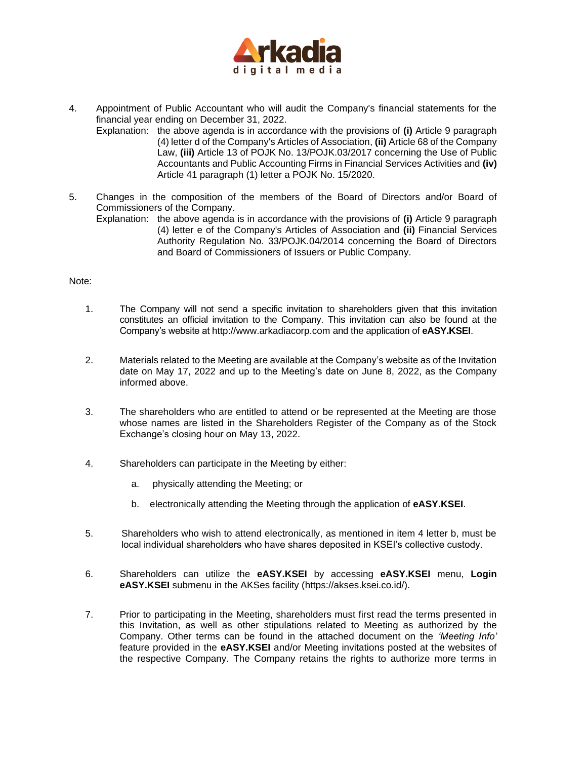

- 4. Appointment of Public Accountant who will audit the Company's financial statements for the financial year ending on December 31, 2022.
	- Explanation: the above agenda is in accordance with the provisions of **(i)** Article 9 paragraph (4) letter d of the Company's Articles of Association, **(ii)** Article 68 of the Company Law, **(iii)** Article 13 of POJK No. 13/POJK.03/2017 concerning the Use of Public Accountants and Public Accounting Firms in Financial Services Activities and **(iv)** Article 41 paragraph (1) letter a POJK No. 15/2020.
- 5. Changes in the composition of the members of the Board of Directors and/or Board of Commissioners of the Company.
	- Explanation: the above agenda is in accordance with the provisions of **(i)** Article 9 paragraph (4) letter e of the Company's Articles of Association and **(ii)** Financial Services Authority Regulation No. 33/POJK.04/2014 concerning the Board of Directors and Board of Commissioners of Issuers or Public Company.

## Note:

- 1. The Company will not send a specific invitation to shareholders given that this invitation constitutes an official invitation to the Company. This invitation can also be found at the Company's website at http://www.arkadiacorp.com and the application of **eASY.KSEI**.
- 2. Materials related to the Meeting are available at the Company's website as of the Invitation date on May 17, 2022 and up to the Meeting's date on June 8, 2022, as the Company informed above.
- 3. The shareholders who are entitled to attend or be represented at the Meeting are those whose names are listed in the Shareholders Register of the Company as of the Stock Exchange's closing hour on May 13, 2022.
- 4. Shareholders can participate in the Meeting by either:
	- a. physically attending the Meeting; or
	- b. electronically attending the Meeting through the application of **eASY.KSEI**.
- 5. Shareholders who wish to attend electronically, as mentioned in item 4 letter b, must be local individual shareholders who have shares deposited in KSEI's collective custody.
- 6. Shareholders can utilize the **eASY.KSEI** by accessing **eASY.KSEI** menu, **Login eASY.KSEI** submenu in the AKSes facility [\(https://akses.ksei.co.id/\)](about:blank).
- 7. Prior to participating in the Meeting, shareholders must first read the terms presented in this Invitation, as well as other stipulations related to Meeting as authorized by the Company. Other terms can be found in the attached document on the *'Meeting Info'* feature provided in the **eASY.KSEI** and/or Meeting invitations posted at the websites of the respective Company. The Company retains the rights to authorize more terms in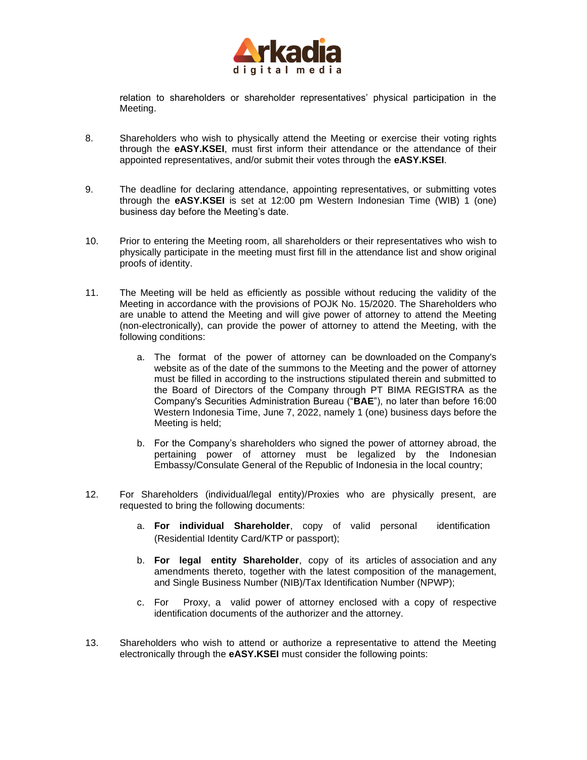

relation to shareholders or shareholder representatives' physical participation in the Meeting.

- 8. Shareholders who wish to physically attend the Meeting or exercise their voting rights through the **eASY.KSEI**, must first inform their attendance or the attendance of their appointed representatives, and/or submit their votes through the **eASY.KSEI**.
- 9. The deadline for declaring attendance, appointing representatives, or submitting votes through the **eASY.KSEI** is set at 12:00 pm Western Indonesian Time (WIB) 1 (one) business day before the Meeting's date.
- 10. Prior to entering the Meeting room, all shareholders or their representatives who wish to physically participate in the meeting must first fill in the attendance list and show original proofs of identity.
- 11. The Meeting will be held as efficiently as possible without reducing the validity of the Meeting in accordance with the provisions of POJK No. 15/2020. The Shareholders who are unable to attend the Meeting and will give power of attorney to attend the Meeting (non-electronically), can provide the power of attorney to attend the Meeting, with the following conditions:
	- a. The format of the power of attorney can be downloaded on the Company's website as of the date of the summons to the Meeting and the power of attorney must be filled in according to the instructions stipulated therein and submitted to the Board of Directors of the Company through PT BIMA REGISTRA as the Company's Securities Administration Bureau ("**BAE**"), no later than before 16:00 Western Indonesia Time, June 7, 2022, namely 1 (one) business days before the Meeting is held;
	- b. For the Company's shareholders who signed the power of attorney abroad, the pertaining power of attorney must be legalized by the Indonesian Embassy/Consulate General of the Republic of Indonesia in the local country;
- 12. For Shareholders (individual/legal entity)/Proxies who are physically present, are requested to bring the following documents:
	- a. **For individual Shareholder**, copy of valid personal identification (Residential Identity Card/KTP or passport);
	- b. **For legal entity Shareholder**, copy of its articles of association and any amendments thereto, together with the latest composition of the management, and Single Business Number (NIB)/Tax Identification Number (NPWP);
	- c. For Proxy, a valid power of attorney enclosed with a copy of respective identification documents of the authorizer and the attorney.
- 13. Shareholders who wish to attend or authorize a representative to attend the Meeting electronically through the **eASY.KSEI** must consider the following points: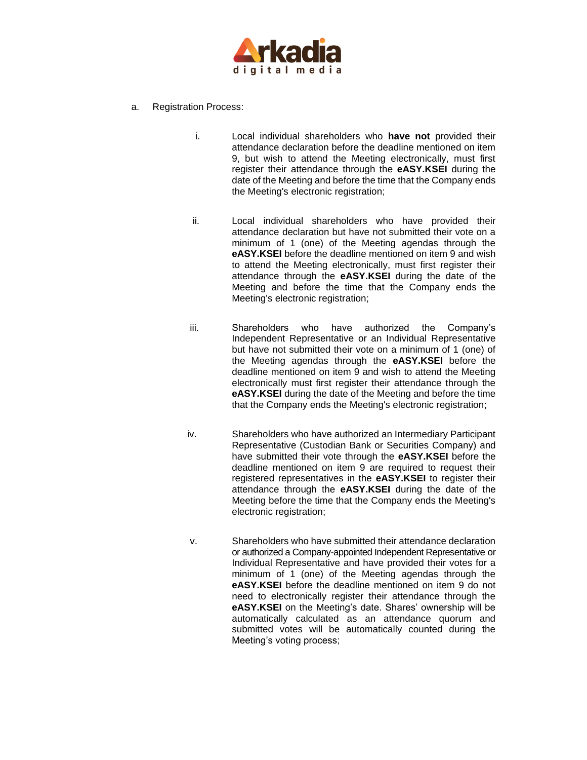

- a. Registration Process:
	- i. Local individual shareholders who **have not** provided their attendance declaration before the deadline mentioned on item 9, but wish to attend the Meeting electronically, must first register their attendance through the **eASY.KSEI** during the date of the Meeting and before the time that the Company ends the Meeting's electronic registration;
	- ii. Local individual shareholders who have provided their attendance declaration but have not submitted their vote on a minimum of 1 (one) of the Meeting agendas through the **eASY.KSEI** before the deadline mentioned on item 9 and wish to attend the Meeting electronically, must first register their attendance through the **eASY.KSEI** during the date of the Meeting and before the time that the Company ends the Meeting's electronic registration;
	- iii. Shareholders who have authorized the Company's Independent Representative or an Individual Representative but have not submitted their vote on a minimum of 1 (one) of the Meeting agendas through the **eASY.KSEI** before the deadline mentioned on item 9 and wish to attend the Meeting electronically must first register their attendance through the **eASY.KSEI** during the date of the Meeting and before the time that the Company ends the Meeting's electronic registration;
	- iv. Shareholders who have authorized an Intermediary Participant Representative (Custodian Bank or Securities Company) and have submitted their vote through the **eASY.KSEI** before the deadline mentioned on item 9 are required to request their registered representatives in the **eASY.KSEI** to register their attendance through the **eASY.KSEI** during the date of the Meeting before the time that the Company ends the Meeting's electronic registration;
	- v. Shareholders who have submitted their attendance declaration or authorized a Company-appointed Independent Representative or Individual Representative and have provided their votes for a minimum of 1 (one) of the Meeting agendas through the **eASY.KSEI** before the deadline mentioned on item 9 do not need to electronically register their attendance through the **eASY.KSEI** on the Meeting's date. Shares' ownership will be automatically calculated as an attendance quorum and submitted votes will be automatically counted during the Meeting's voting process;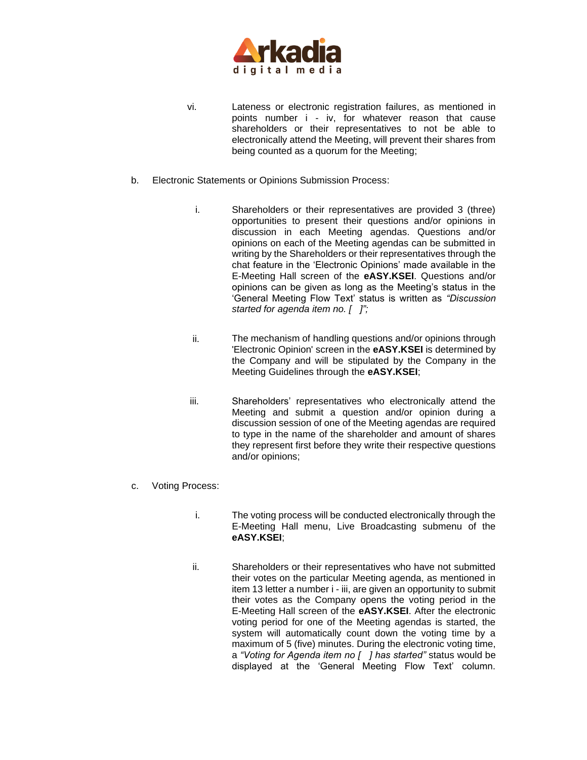

- vi. Lateness or electronic registration failures, as mentioned in points number i - iv, for whatever reason that cause shareholders or their representatives to not be able to electronically attend the Meeting, will prevent their shares from being counted as a quorum for the Meeting;
- b. Electronic Statements or Opinions Submission Process:
	- i. Shareholders or their representatives are provided 3 (three) opportunities to present their questions and/or opinions in discussion in each Meeting agendas. Questions and/or opinions on each of the Meeting agendas can be submitted in writing by the Shareholders or their representatives through [the](https://geekprank.com/chat-screenshot/)  [chat](https://geekprank.com/chat-screenshot/) feature in the 'Electronic Opinions' made available in the E-Meeting Hall screen of the **eASY.KSEI**. Questions and/or opinions can be given as long as the Meeting's status in the 'General Meeting Flow Text' status is written as *"Discussion started for agenda item no. [ ]";*
	- ii. The mechanism of handling questions and/or opinions through 'Electronic Opinion' screen in the **eASY.KSEI** is determined by the Company and will be stipulated by the Company in the Meeting Guidelines through the **eASY.KSEI**;
	- iii. Shareholders' representatives who electronically attend the Meeting and submit a question and/or opinion during a discussion session of one of the Meeting agendas are required to type in the name of the shareholder and amount of shares they represent first before they write their respective questions and/or opinions;
- c. Voting Process:
	- i. The voting process will be conducted electronically through the E-Meeting Hall menu, Live Broadcasting submenu of the **eASY.KSEI**;
	- ii. Shareholders or their representatives who have not submitted their votes on the particular Meeting agenda, as mentioned in item 13 letter a number i - iii, are given an opportunity to submit their votes as the Company opens the voting period in the E-Meeting Hall screen of the **eASY.KSEI**. After the electronic voting period for one of the Meeting agendas is started, the system will automatically count down the voting time by a maximum of 5 (five) minutes. During the electronic voting time, a *"Voting for Agenda item no [ ] has started"* status would be displayed at the 'General Meeting Flow Text' column.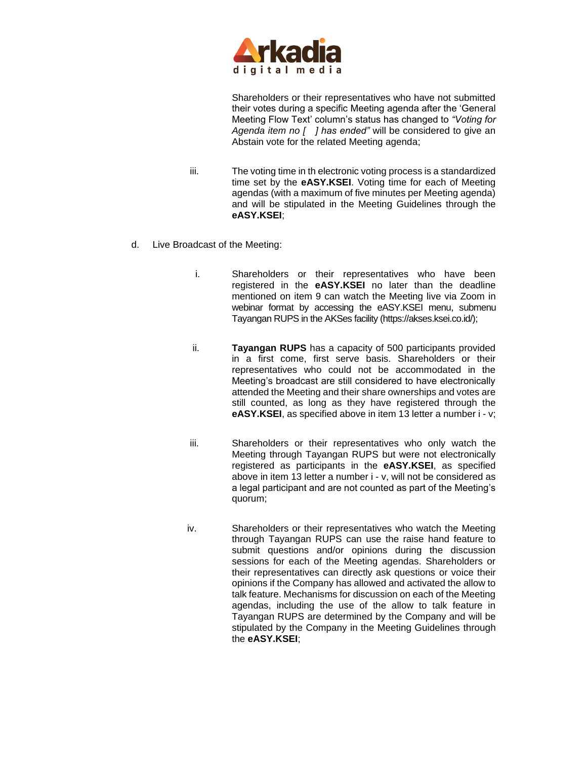

Shareholders or their representatives who have not submitted their votes during a specific Meeting agenda after the 'General Meeting Flow Text' column's status has changed to *"Voting for Agenda item no [ ] has ended"* will be considered to give an Abstain vote for the related Meeting agenda;

- iii. The voting time in th electronic voting process is a standardized time set by the **eASY.KSEI**. Voting time for each of Meeting agendas (with a maximum of five minutes per Meeting agenda) and will be stipulated in the Meeting Guidelines through the **eASY.KSEI**;
- d. Live Broadcast of the Meeting:
	- i. Shareholders or their representatives who have been registered in the **eASY.KSEI** no later than the deadline mentioned on item 9 can watch the Meeting live via Zoom in webinar format by accessing the eASY.KSEI menu, submenu Tayangan RUPS in the AKSes facility [\(https://akses.ksei.co.id/\)](https://akses.ksei.co.id/);
	- ii. **Tayangan RUPS** has a capacity of 500 participants provided in a first come, first serve basis. Shareholders or their representatives who could not be accommodated in the Meeting's broadcast are still considered to have electronically attended the Meeting and their share ownerships and votes are still counted, as long as they have registered through the **eASY.KSEI**, as specified above in item 13 letter a number i - v;
	- iii. Shareholders or their representatives who only watch the Meeting through Tayangan RUPS but were not electronically registered as participants in the **eASY.KSEI**, as specified above in item 13 letter a number i - v, will not be considered as a legal participant and are not counted as part of the Meeting's quorum;
	- iv. Shareholders or their representatives who watch the Meeting through Tayangan RUPS can use the raise hand feature to submit questions and/or opinions during the discussion sessions for each of the Meeting agendas. Shareholders or their representatives can directly ask questions or voice their opinions if the Company has allowed and activated the allow to talk feature. Mechanisms for discussion on each of the Meeting agendas, including the use of the allow to talk feature in Tayangan RUPS are determined by the Company and will be stipulated by the Company in the Meeting Guidelines through the **eASY.KSEI**;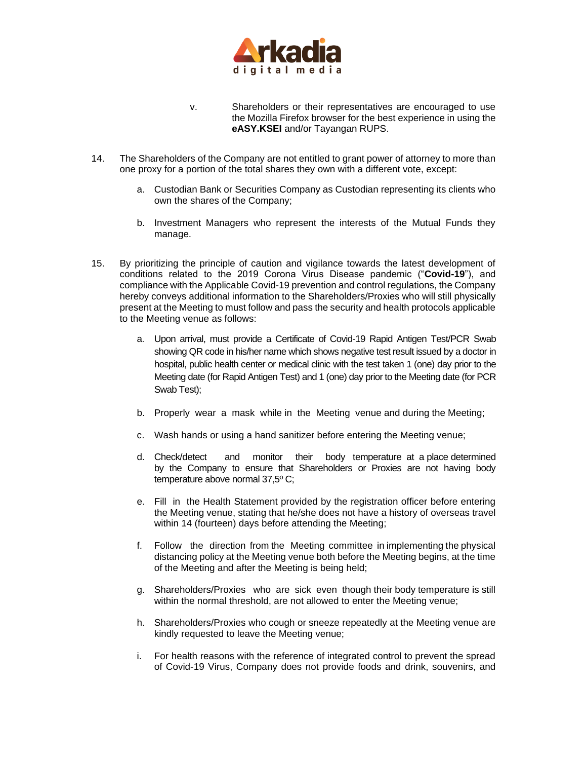

- v. Shareholders or their representatives are encouraged to use the Mozilla Firefox browser for the best experience in using the **eASY.KSEI** and/or Tayangan RUPS.
- 14. The Shareholders of the Company are not entitled to grant power of attorney to more than one proxy for a portion of the total shares they own with a different vote, except:
	- a. Custodian Bank or Securities Company as Custodian representing its clients who own the shares of the Company;
	- b. Investment Managers who represent the interests of the Mutual Funds they manage.
- 15. By prioritizing the principle of caution and vigilance towards the latest development of conditions related to the 2019 Corona Virus Disease pandemic ("**Covid-19**"), and compliance with the Applicable Covid-19 prevention and control regulations, the Company hereby conveys additional information to the Shareholders/Proxies who will still physically present at the Meeting to must follow and pass the security and health protocols applicable to the Meeting venue as follows:
	- a. Upon arrival, must provide a Certificate of Covid-19 Rapid Antigen Test/PCR Swab showing QR code in his/her name which shows negative test result issued by a doctor in hospital, public health center or medical clinic with the test taken 1 (one) day prior to the Meeting date (for Rapid Antigen Test) and 1 (one) day prior to the Meeting date (for PCR Swab Test);
	- b. Properly wear a mask while in the Meeting venue and during the Meeting;
	- c. Wash hands or using a hand sanitizer before entering the Meeting venue;
	- d. Check/detect and monitor their body temperature at a place determined by the Company to ensure that Shareholders or Proxies are not having body temperature above normal 37,5º C;
	- e. Fill in the Health Statement provided by the registration officer before entering the Meeting venue, stating that he/she does not have a history of overseas travel within 14 (fourteen) days before attending the Meeting;
	- f. Follow the direction from the Meeting committee in implementing the physical distancing policy at the Meeting venue both before the Meeting begins, at the time of the Meeting and after the Meeting is being held;
	- g. Shareholders/Proxies who are sick even though their body temperature is still within the normal threshold, are not allowed to enter the Meeting venue;
	- h. Shareholders/Proxies who cough or sneeze repeatedly at the Meeting venue are kindly requested to leave the Meeting venue;
	- i. For health reasons with the reference of integrated control to prevent the spread of Covid-19 Virus, Company does not provide foods and drink, souvenirs, and